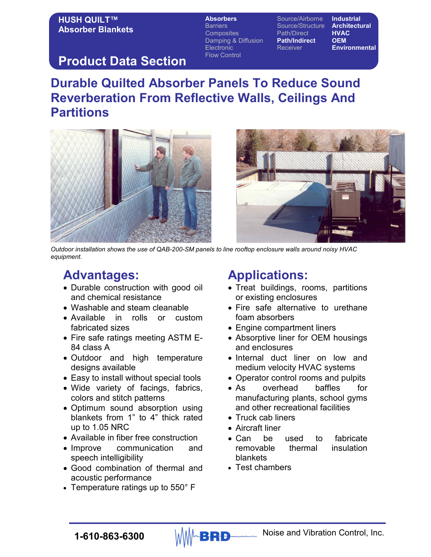#### HUSH QUILT™ Absorber Blankets

Absorbers Source/Airborne Industrial Barriers **Source/Structure Architectural**<br>Composites **Source** Path/Direct **HVAC** Composites Path/Direct Damping & Diffusion Path/Indirect OEM Electronic Receiver **Environmental** Flow Control

### Product Data Section

# Durable Quilted Absorber Panels To Reduce Sound Reverberation From Reflective Walls, Ceilings And **Partitions**





Outdoor installation shows the use of QAB-200-SM panels to line rooftop enclosure walls around noisy HVAC equipment.

# Advantages:

- Durable construction with good oil and chemical resistance
- Washable and steam cleanable
- Available in rolls or custom fabricated sizes
- Fire safe ratings meeting ASTM E-84 class A
- Outdoor and high temperature designs available
- Easy to install without special tools
- Wide variety of facings, fabrics, colors and stitch patterns
- Optimum sound absorption using blankets from 1" to 4" thick rated up to 1.05 NRC
- Available in fiber free construction
- Improve communication and speech intelligibility
- Good combination of thermal and acoustic performance
- Temperature ratings up to 550° F

# Applications:

- Treat buildings, rooms, partitions or existing enclosures
- Fire safe alternative to urethane foam absorbers
- Engine compartment liners
- Absorptive liner for OEM housings and enclosures
- Internal duct liner on low and medium velocity HVAC systems
- Operator control rooms and pulpits
- As overhead baffles for manufacturing plants, school gyms and other recreational facilities
- Truck cab liners
- Aircraft liner
- Can be used to fabricate removable thermal insulation blankets
- Test chambers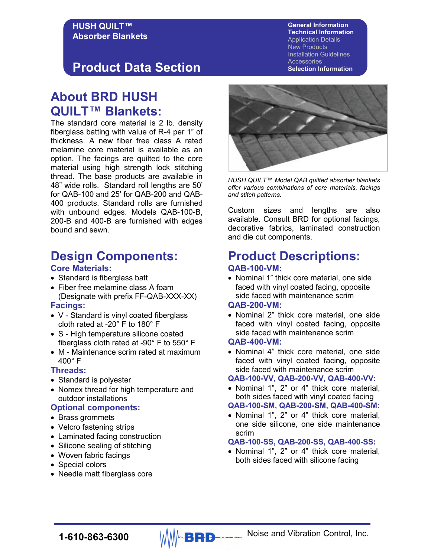#### HUSH QUILT™ Absorber Blankets

## Product Data Section

### About BRD HUSH QUILT™ Blankets:

The standard core material is 2 lb. density fiberglass batting with value of R-4 per 1" of thickness. A new fiber free class A rated melamine core material is available as an option. The facings are quilted to the core material using high strength lock stitching thread. The base products are available in 48" wide rolls. Standard roll lengths are 50' for QAB-100 and 25' for QAB-200 and QAB-400 products. Standard rolls are furnished with unbound edges. Models QAB-100-B, 200-B and 400-B are furnished with edges bound and sewn.

### Design Components:

#### Core Materials:

- Standard is fiberglass batt
- Fiber free melamine class A foam (Designate with prefix FF-QAB-XXX-XX)

#### Facings:

- V Standard is vinyl coated fiberglass cloth rated at -20° F to 180° F
- S High temperature silicone coated fiberglass cloth rated at -90° F to 550° F
- M Maintenance scrim rated at maximum 400° F

#### Threads:

- Standard is polyester
- Nomex thread for high temperature and outdoor installations

#### Optional components:

- Brass grommets
- Velcro fastening strips
- Laminated facing construction
- Silicone sealing of stitching
- Woven fabric facings
- Special colors
- Needle matt fiberglass core



HUSH QUILT™ Model QAB quilted absorber blankets offer various combinations of core materials, facings and stitch patterns.

Custom sizes and lengths are also available. Consult BRD for optional facings, decorative fabrics, laminated construction and die cut components.

### Product Descriptions: QAB-100-VM:

• Nominal 1" thick core material, one side faced with vinyl coated facing, opposite side faced with maintenance scrim

#### QAB-200-VM:

• Nominal 2" thick core material, one side faced with vinyl coated facing, opposite side faced with maintenance scrim

#### QAB-400-VM:

• Nominal 4" thick core material, one side faced with vinyl coated facing, opposite side faced with maintenance scrim

#### QAB-100-VV, QAB-200-VV, QAB-400-VV:

• Nominal 1", 2" or 4" thick core material, both sides faced with vinyl coated facing

#### QAB-100-SM, QAB-200-SM, QAB-400-SM:

• Nominal 1", 2" or 4" thick core material, one side silicone, one side maintenance scrim

#### QAB-100-SS, QAB-200-SS, QAB-400-SS:

• Nominal 1", 2" or 4" thick core material, both sides faced with silicone facing

General Information Technical Information Application Details New Products

Installation Guidelines **Accessories** 

Selection Information